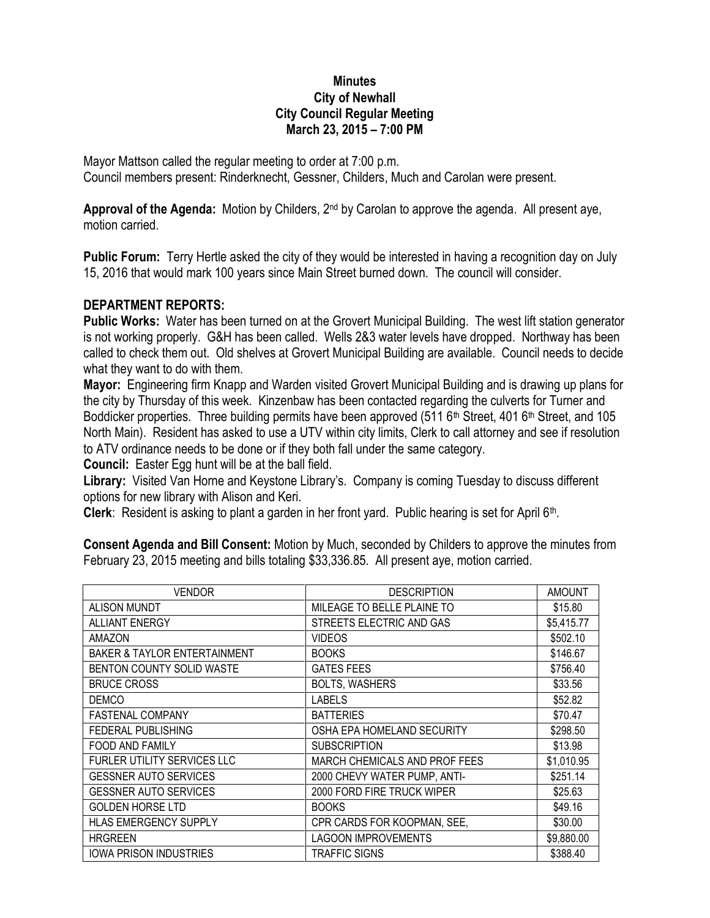## **Minutes City of Newhall City Council Regular Meeting March 23, 2015 – 7:00 PM**

Mayor Mattson called the regular meeting to order at 7:00 p.m. Council members present: Rinderknecht, Gessner, Childers, Much and Carolan were present.

**Approval of the Agenda:** Motion by Childers, 2nd by Carolan to approve the agenda. All present aye, motion carried.

**Public Forum:** Terry Hertle asked the city of they would be interested in having a recognition day on July 15, 2016 that would mark 100 years since Main Street burned down. The council will consider.

## **DEPARTMENT REPORTS:**

**Public Works:** Water has been turned on at the Grovert Municipal Building. The west lift station generator is not working properly. G&H has been called. Wells 2&3 water levels have dropped. Northway has been called to check them out. Old shelves at Grovert Municipal Building are available. Council needs to decide what they want to do with them.

**Mayor:** Engineering firm Knapp and Warden visited Grovert Municipal Building and is drawing up plans for the city by Thursday of this week. Kinzenbaw has been contacted regarding the culverts for Turner and Boddicker properties. Three building permits have been approved (511 6<sup>th</sup> Street, 401 6<sup>th</sup> Street, and 105 North Main). Resident has asked to use a UTV within city limits, Clerk to call attorney and see if resolution to ATV ordinance needs to be done or if they both fall under the same category.

**Council:** Easter Egg hunt will be at the ball field.

**Library:** Visited Van Horne and Keystone Library's. Company is coming Tuesday to discuss different options for new library with Alison and Keri.

Clerk: Resident is asking to plant a garden in her front yard. Public hearing is set for April 6<sup>th</sup>.

**Consent Agenda and Bill Consent:** Motion by Much, seconded by Childers to approve the minutes from February 23, 2015 meeting and bills totaling \$33,336.85. All present aye, motion carried.

| <b>VENDOR</b>                           | <b>DESCRIPTION</b>            | <b>AMOUNT</b> |
|-----------------------------------------|-------------------------------|---------------|
| <b>ALISON MUNDT</b>                     | MILEAGE TO BELLE PLAINE TO    | \$15.80       |
| <b>ALLIANT ENERGY</b>                   | STREETS ELECTRIC AND GAS      | \$5,415.77    |
| <b>AMAZON</b>                           | <b>VIDEOS</b>                 | \$502.10      |
| <b>BAKER &amp; TAYLOR ENTERTAINMENT</b> | <b>BOOKS</b>                  | \$146.67      |
| BENTON COUNTY SOLID WASTE               | <b>GATES FEES</b>             | \$756.40      |
| <b>BRUCE CROSS</b>                      | <b>BOLTS, WASHERS</b>         | \$33.56       |
| DEMCO                                   | <b>LABELS</b>                 | \$52.82       |
| FASTENAL COMPANY                        | <b>BATTERIES</b>              | \$70.47       |
| FEDERAL PUBLISHING                      | OSHA EPA HOMELAND SECURITY    | \$298.50      |
| <b>FOOD AND FAMILY</b>                  | <b>SUBSCRIPTION</b>           | \$13.98       |
| FURLER UTILITY SERVICES LLC             | MARCH CHEMICALS AND PROF FEES | \$1,010.95    |
| <b>GESSNER AUTO SERVICES</b>            | 2000 CHEVY WATER PUMP, ANTI-  | \$251.14      |
| <b>GESSNER AUTO SERVICES</b>            | 2000 FORD FIRE TRUCK WIPER    | \$25.63       |
| <b>GOLDEN HORSE LTD</b>                 | <b>BOOKS</b>                  | \$49.16       |
| <b>HLAS EMERGENCY SUPPLY</b>            | CPR CARDS FOR KOOPMAN, SEE,   | \$30.00       |
| <b>HRGREEN</b>                          | <b>LAGOON IMPROVEMENTS</b>    | \$9,880.00    |
| <b>IOWA PRISON INDUSTRIES</b>           | <b>TRAFFIC SIGNS</b>          | \$388.40      |